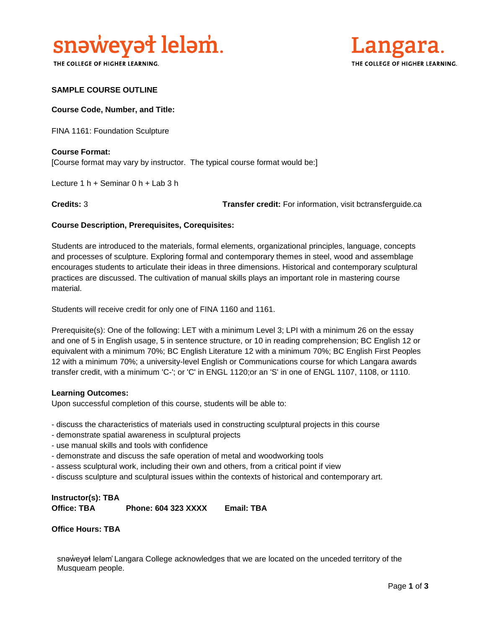

THE COLLEGE OF HIGHER LEARNING.



### **SAMPLE COURSE OUTLINE**

#### **Course Code, Number, and Title:**

FINA 1161: Foundation Sculpture

## **Course Format:** [Course format may vary by instructor. The typical course format would be:]

Lecture 1 h + Seminar 0 h + Lab 3 h

**Credits:** 3 **Transfer credit:** For information, visit bctransferguide.ca

### **Course Description, Prerequisites, Corequisites:**

Students are introduced to the materials, formal elements, organizational principles, language, concepts and processes of sculpture. Exploring formal and contemporary themes in steel, wood and assemblage encourages students to articulate their ideas in three dimensions. Historical and contemporary sculptural practices are discussed. The cultivation of manual skills plays an important role in mastering course material.

Students will receive credit for only one of FINA 1160 and 1161.

Prerequisite(s): One of the following: LET with a minimum Level 3; LPI with a minimum 26 on the essay and one of 5 in English usage, 5 in sentence structure, or 10 in reading comprehension; BC English 12 or equivalent with a minimum 70%; BC English Literature 12 with a minimum 70%; BC English First Peoples 12 with a minimum 70%; a university-level English or Communications course for which Langara awards transfer credit, with a minimum 'C-'; or 'C' in ENGL 1120;or an 'S' in one of ENGL 1107, 1108, or 1110.

#### **Learning Outcomes:**

Upon successful completion of this course, students will be able to:

- discuss the characteristics of materials used in constructing sculptural projects in this course
- demonstrate spatial awareness in sculptural projects
- use manual skills and tools with confidence
- demonstrate and discuss the safe operation of metal and woodworking tools
- assess sculptural work, including their own and others, from a critical point if view
- discuss sculpture and sculptural issues within the contexts of historical and contemporary art.

**Instructor(s): TBA Office: TBA Phone: 604 323 XXXX Email: TBA**

**Office Hours: TBA** 

snəweyał leləm' Langara College acknowledges that we are located on the unceded territory of the Musqueam people.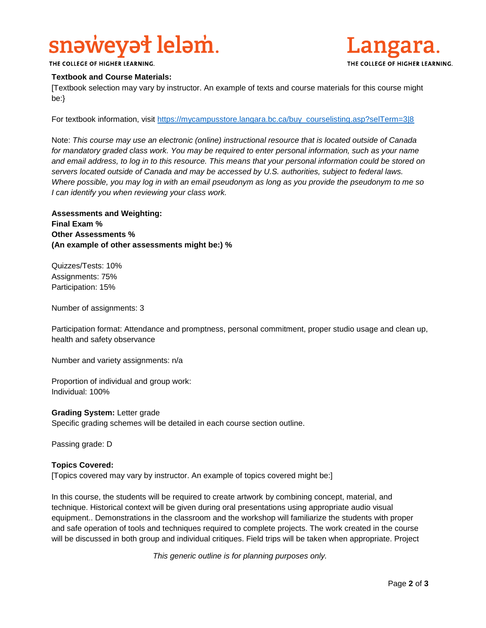# snaweyat lelam.



THE COLLEGE OF HIGHER LEARNING.

### **Textbook and Course Materials:**

[Textbook selection may vary by instructor. An example of texts and course materials for this course might be:}

For textbook information, visit [https://mycampusstore.langara.bc.ca/buy\\_courselisting.asp?selTerm=3|8](https://mycampusstore.langara.bc.ca/buy_courselisting.asp?selTerm=3|8)

Note: *This course may use an electronic (online) instructional resource that is located outside of Canada*  for mandatory graded class work. You may be required to enter personal information, such as your name *and email address, to log in to this resource. This means that your personal information could be stored on servers located outside of Canada and may be accessed by U.S. authorities, subject to federal laws. Where possible, you may log in with an email pseudonym as long as you provide the pseudonym to me so I can identify you when reviewing your class work.* 

**Assessments and Weighting: Final Exam % Other Assessments % (An example of other assessments might be:) %**

Quizzes/Tests: 10% Assignments: 75% Participation: 15%

Number of assignments: 3

Participation format: Attendance and promptness, personal commitment, proper studio usage and clean up, health and safety observance

Number and variety assignments: n/a

Proportion of individual and group work: Individual: 100%

**Grading System:** Letter grade Specific grading schemes will be detailed in each course section outline.

Passing grade: D

### **Topics Covered:**

[Topics covered may vary by instructor. An example of topics covered might be:]

In this course, the students will be required to create artwork by combining concept, material, and technique. Historical context will be given during oral presentations using appropriate audio visual equipment.. Demonstrations in the classroom and the workshop will familiarize the students with proper and safe operation of tools and techniques required to complete projects. The work created in the course will be discussed in both group and individual critiques. Field trips will be taken when appropriate. Project

*This generic outline is for planning purposes only.*